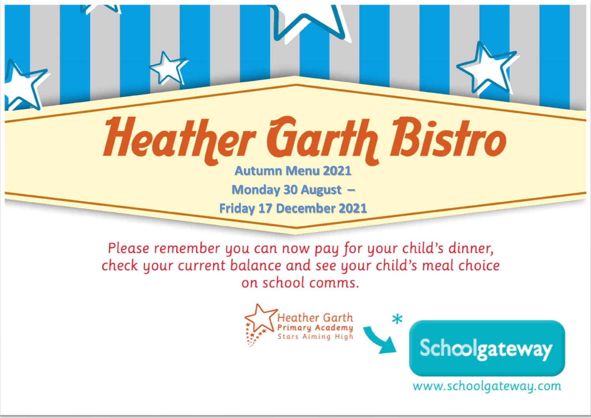## **Heather Garth Bistro**

**Autumn Menu 2021**

**Monday 30 August –**

**Friday 17 December 2021**

Please remember you can now pay for your child's dinner, check your current balance and see your child's meal choice on school comms.



www.schoolgateway.com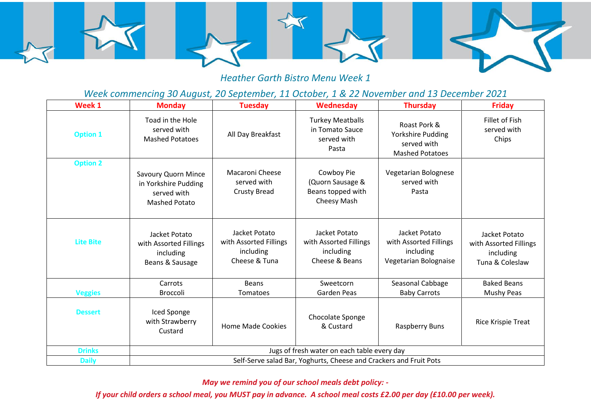

## *Heather Garth Bistro Menu Week 1*

*Week commencing 30 August, 20 September, 11 October, 1 & 22 November and 13 December 2021*

| Week 1           | <b>Monday</b>                                                                             | <b>Tuesday</b>                                                        | Wednesday                                                              | <b>Thursday</b>                                                               | <b>Friday</b>                                                           |  |
|------------------|-------------------------------------------------------------------------------------------|-----------------------------------------------------------------------|------------------------------------------------------------------------|-------------------------------------------------------------------------------|-------------------------------------------------------------------------|--|
| <b>Option 1</b>  | Toad in the Hole<br>served with<br><b>Mashed Potatoes</b>                                 | All Day Breakfast                                                     | <b>Turkey Meatballs</b><br>in Tomato Sauce<br>served with<br>Pasta     | Roast Pork &<br>Yorkshire Pudding<br>served with<br><b>Mashed Potatoes</b>    | Fillet of Fish<br>served with<br>Chips                                  |  |
| <b>Option 2</b>  | <b>Savoury Quorn Mince</b><br>in Yorkshire Pudding<br>served with<br><b>Mashed Potato</b> | <b>Macaroni Cheese</b><br>served with<br><b>Crusty Bread</b>          | Cowboy Pie<br>(Quorn Sausage &<br>Beans topped with<br>Cheesy Mash     | Vegetarian Bolognese<br>served with<br>Pasta                                  |                                                                         |  |
| <b>Lite Bite</b> | Jacket Potato<br>with Assorted Fillings<br>including<br>Beans & Sausage                   | Jacket Potato<br>with Assorted Fillings<br>including<br>Cheese & Tuna | Jacket Potato<br>with Assorted Fillings<br>including<br>Cheese & Beans | Jacket Potato<br>with Assorted Fillings<br>including<br>Vegetarian Bolognaise | Jacket Potato<br>with Assorted Fillings<br>including<br>Tuna & Coleslaw |  |
| <b>Veggies</b>   | Carrots<br>Broccoli                                                                       | <b>Beans</b><br>Tomatoes                                              | Sweetcorn<br>Garden Peas                                               | Seasonal Cabbage<br><b>Baby Carrots</b>                                       | <b>Baked Beans</b><br><b>Mushy Peas</b>                                 |  |
| <b>Dessert</b>   | Iced Sponge<br>with Strawberry<br>Custard                                                 | <b>Home Made Cookies</b>                                              | Chocolate Sponge<br>& Custard                                          | Raspberry Buns                                                                | Rice Krispie Treat                                                      |  |
| <b>Drinks</b>    | Jugs of fresh water on each table every day                                               |                                                                       |                                                                        |                                                                               |                                                                         |  |
| <b>Daily</b>     | Self-Serve salad Bar, Yoghurts, Cheese and Crackers and Fruit Pots                        |                                                                       |                                                                        |                                                                               |                                                                         |  |

*May we remind you of our school meals debt policy: -*

*If your child orders a school meal, you MUST pay in advance. A school meal costs £2.00 per day (£10.00 per week).*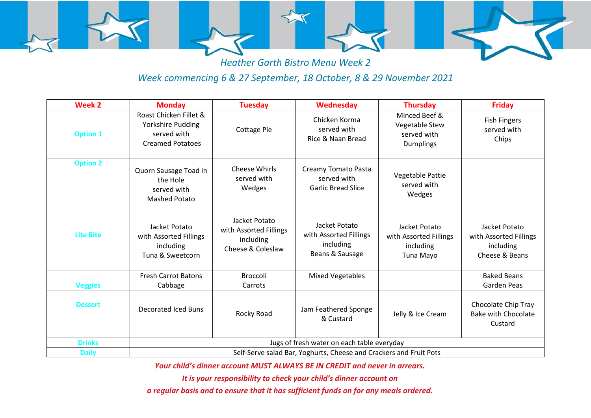

*Heather Garth Bistro Menu Week 2*

## *Week commencing 6 & 27 September, 18 October, 8 & 29 November 2021*

| Week <sub>2</sub> | <b>Monday</b>                                                                         | <b>Tuesday</b>                                                            | <b>Wednesday</b>                                                        | <b>Thursday</b>                                                    | <b>Friday</b>                                                          |  |
|-------------------|---------------------------------------------------------------------------------------|---------------------------------------------------------------------------|-------------------------------------------------------------------------|--------------------------------------------------------------------|------------------------------------------------------------------------|--|
| <b>Option 1</b>   | Roast Chicken Fillet &<br>Yorkshire Pudding<br>served with<br><b>Creamed Potatoes</b> | Cottage Pie                                                               | Chicken Korma<br>served with<br>Rice & Naan Bread                       | Minced Beef &<br>Vegetable Stew<br>served with<br><b>Dumplings</b> | <b>Fish Fingers</b><br>served with<br>Chips                            |  |
| <b>Option 2</b>   | Quorn Sausage Toad in<br>the Hole<br>served with<br><b>Mashed Potato</b>              | <b>Cheese Whirls</b><br>served with<br>Wedges                             | Creamy Tomato Pasta<br>served with<br><b>Garlic Bread Slice</b>         | Vegetable Pattie<br>served with<br>Wedges                          |                                                                        |  |
| <b>Lite Bite</b>  | Jacket Potato<br>with Assorted Fillings<br>including<br>Tuna & Sweetcorn              | Jacket Potato<br>with Assorted Fillings<br>including<br>Cheese & Coleslaw | Jacket Potato<br>with Assorted Fillings<br>including<br>Beans & Sausage | Jacket Potato<br>with Assorted Fillings<br>including<br>Tuna Mayo  | Jacket Potato<br>with Assorted Fillings<br>including<br>Cheese & Beans |  |
|                   | <b>Fresh Carrot Batons</b>                                                            | <b>Broccoli</b>                                                           | <b>Mixed Vegetables</b>                                                 |                                                                    | <b>Baked Beans</b>                                                     |  |
| <b>Veggies</b>    | Cabbage                                                                               | Carrots                                                                   |                                                                         |                                                                    | Garden Peas                                                            |  |
| <b>Dessert</b>    | <b>Decorated Iced Buns</b>                                                            | Rocky Road                                                                | Jam Feathered Sponge<br>& Custard                                       | Jelly & Ice Cream                                                  | Chocolate Chip Tray<br><b>Bake with Chocolate</b><br>Custard           |  |
| <b>Drinks</b>     | Jugs of fresh water on each table everyday                                            |                                                                           |                                                                         |                                                                    |                                                                        |  |
| <b>Daily</b>      | Self-Serve salad Bar, Yoghurts, Cheese and Crackers and Fruit Pots                    |                                                                           |                                                                         |                                                                    |                                                                        |  |

*Your child's dinner account MUST ALWAYS BE IN CREDIT and never in arrears.* 

*It is your responsibility to check your child's dinner account on* 

*a regular basis and to ensure that it has sufficient funds on for any meals ordered.*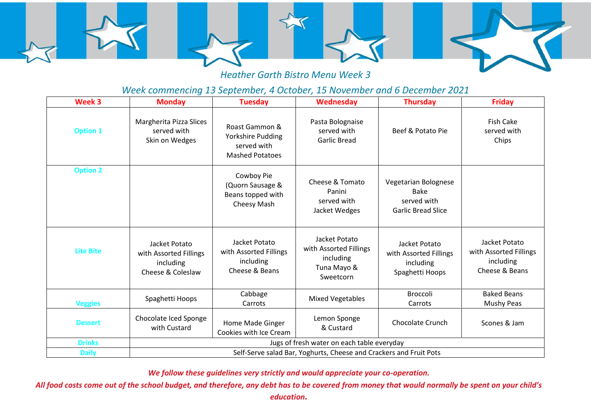

*Heather Garth Bistro Menu Week 3*

## *Week commencing 13 September, 4 October, 15 November and 6 December 2021*

| Week 3           | <b>Monday</b>                                                             | <b>Tuesday</b>                                                               | <b>Wednesday</b>                                                                 | <b>Thursday</b>                                                                 | <b>Friday</b>                                                          |  |
|------------------|---------------------------------------------------------------------------|------------------------------------------------------------------------------|----------------------------------------------------------------------------------|---------------------------------------------------------------------------------|------------------------------------------------------------------------|--|
| <b>Option 1</b>  | Margherita Pizza Slices<br>served with<br>Skin on Wedges                  | Roast Gammon &<br>Yorkshire Pudding<br>served with<br><b>Mashed Potatoes</b> | Pasta Bolognaise<br>served with<br><b>Garlic Bread</b>                           | Beef & Potato Pie                                                               | <b>Fish Cake</b><br>served with<br>Chips                               |  |
| <b>Option 2</b>  |                                                                           | Cowboy Pie<br>(Quorn Sausage &<br>Beans topped with<br>Cheesy Mash           | Cheese & Tomato<br>Panini<br>served with<br>Jacket Wedges                        | Vegetarian Bolognese<br><b>Bake</b><br>served with<br><b>Garlic Bread Slice</b> |                                                                        |  |
| <b>Lite Bite</b> | Jacket Potato<br>with Assorted Fillings<br>including<br>Cheese & Coleslaw | Jacket Potato<br>with Assorted Fillings<br>including<br>Cheese & Beans       | Jacket Potato<br>with Assorted Fillings<br>including<br>Tuna Mayo &<br>Sweetcorn | Jacket Potato<br>with Assorted Fillings<br>including<br>Spaghetti Hoops         | Jacket Potato<br>with Assorted Fillings<br>including<br>Cheese & Beans |  |
| <b>Veggies</b>   | Spaghetti Hoops                                                           | Cabbage<br>Carrots                                                           | <b>Mixed Vegetables</b>                                                          | <b>Broccoli</b><br>Carrots                                                      | <b>Baked Beans</b><br><b>Mushy Peas</b>                                |  |
| <b>Dessert</b>   | Chocolate Iced Sponge<br>with Custard                                     | Home Made Ginger<br>Cookies with Ice Cream                                   | Lemon Sponge<br>& Custard                                                        | <b>Chocolate Crunch</b>                                                         | Scones & Jam                                                           |  |
| <b>Drinks</b>    | Jugs of fresh water on each table everyday                                |                                                                              |                                                                                  |                                                                                 |                                                                        |  |
| <b>Daily</b>     | Self-Serve salad Bar, Yoghurts, Cheese and Crackers and Fruit Pots        |                                                                              |                                                                                  |                                                                                 |                                                                        |  |

*We follow these guidelines very strictly and would appreciate your co-operation.*

*All food costs come out of the school budget, and therefore, any debt has to be covered from money that would normally be spent on your child's* 

*education.*